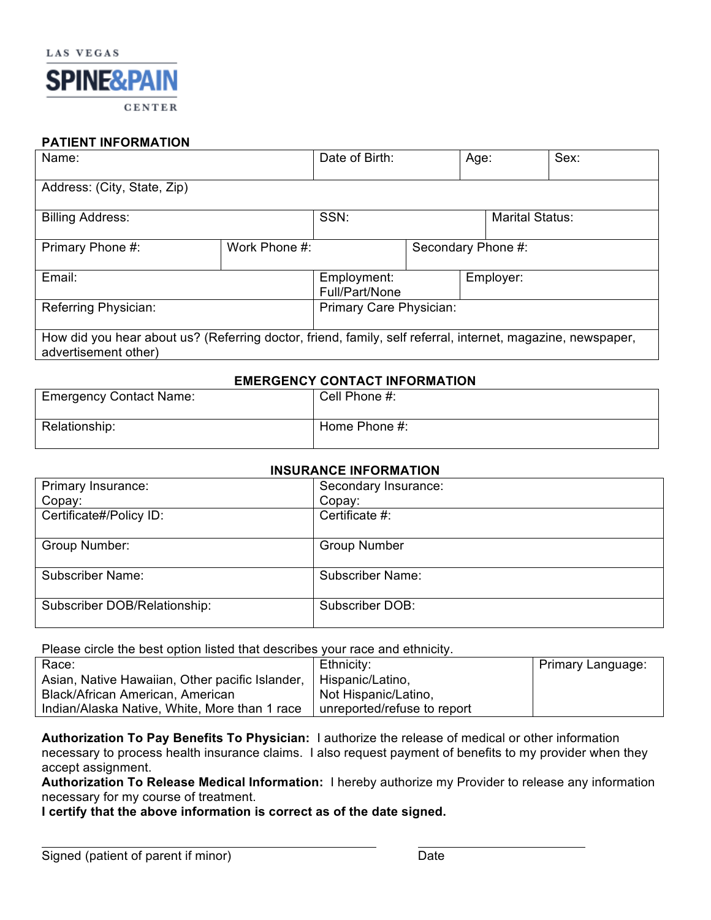

### **PATIENT INFORMATION**

| Name:                                                                                                                               |               | Date of Birth:                |  | Age:                   |           | Sex: |
|-------------------------------------------------------------------------------------------------------------------------------------|---------------|-------------------------------|--|------------------------|-----------|------|
| Address: (City, State, Zip)                                                                                                         |               |                               |  |                        |           |      |
| <b>Billing Address:</b>                                                                                                             |               | SSN:                          |  | <b>Marital Status:</b> |           |      |
| Primary Phone #:                                                                                                                    | Work Phone #: |                               |  | Secondary Phone #:     |           |      |
| Email:                                                                                                                              |               | Employment:<br>Full/Part/None |  |                        | Employer: |      |
| Referring Physician:                                                                                                                |               | Primary Care Physician:       |  |                        |           |      |
| How did you hear about us? (Referring doctor, friend, family, self referral, internet, magazine, newspaper,<br>advertisement other) |               |                               |  |                        |           |      |

### **EMERGENCY CONTACT INFORMATION**

| <b>Emergency Contact Name:</b> | Cell Phone #: |
|--------------------------------|---------------|
| Relationship:                  | Home Phone #: |

### **INSURANCE INFORMATION**

| Primary Insurance:           | Secondary Insurance:    |  |
|------------------------------|-------------------------|--|
| Copay:                       | Copay:                  |  |
| Certificate#/Policy ID:      | Certificate #:          |  |
| Group Number:                | <b>Group Number</b>     |  |
| <b>Subscriber Name:</b>      | <b>Subscriber Name:</b> |  |
| Subscriber DOB/Relationship: | Subscriber DOB:         |  |

Please circle the best option listed that describes your race and ethnicity.

| Race:                                           | Ethnicity:                  | Primary Language: |
|-------------------------------------------------|-----------------------------|-------------------|
| Asian, Native Hawaiian, Other pacific Islander, | Hispanic/Latino,            |                   |
| Black/African American, American                | Not Hispanic/Latino,        |                   |
| Indian/Alaska Native, White, More than 1 race   | unreported/refuse to report |                   |

**Authorization To Pay Benefits To Physician:** I authorize the release of medical or other information necessary to process health insurance claims. I also request payment of benefits to my provider when they accept assignment.

**Authorization To Release Medical Information:** I hereby authorize my Provider to release any information necessary for my course of treatment.

**I certify that the above information is correct as of the date signed.**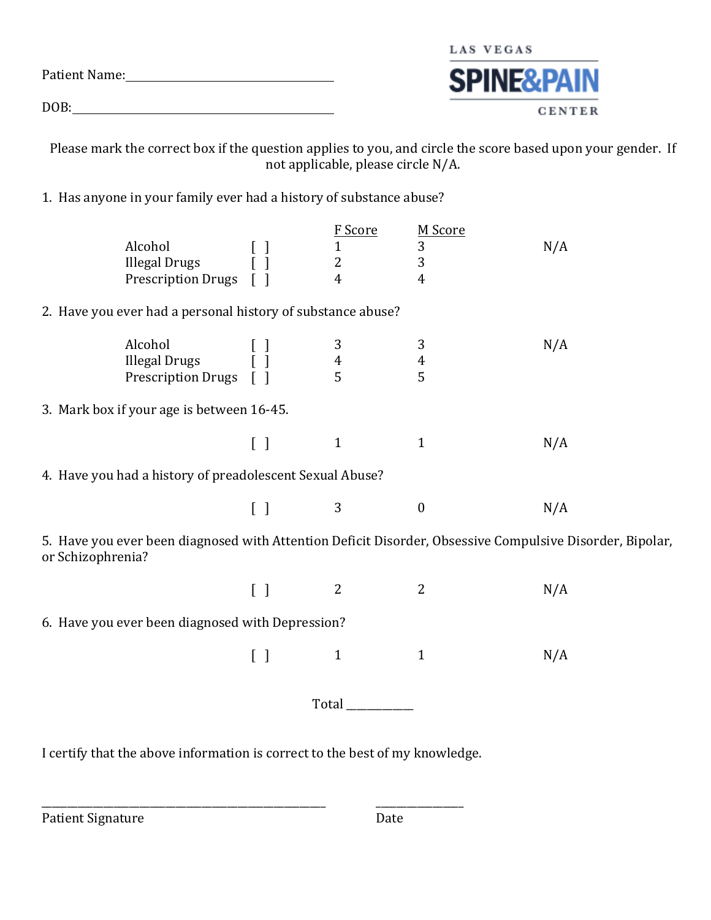|               | LAS VEGAS             |
|---------------|-----------------------|
| Patient Name: | <b>SPINE&amp;PAIN</b> |
| DOB:          | <b>CENTER</b>         |

Please mark the correct box if the question applies to you, and circle the score based upon your gender. If not applicable, please circle N/A.

1. Has anyone in your family ever had a history of substance abuse?

| Alcohol<br><b>Illegal Drugs</b><br>Prescription Drugs [ ]                                                                     | [ ]<br>[ ]                        | F Score<br>$\mathbf{1}$<br>$\overline{2}$<br>$\overline{4}$ | M Score<br>3<br>3<br>$\overline{4}$ | N/A |
|-------------------------------------------------------------------------------------------------------------------------------|-----------------------------------|-------------------------------------------------------------|-------------------------------------|-----|
| 2. Have you ever had a personal history of substance abuse?                                                                   |                                   |                                                             |                                     |     |
| Alcohol<br>Alcohol [ ]<br>Illegal Drugs [ ]<br>Prescription Drugs [ ]                                                         |                                   | 3<br>$\overline{4}$<br>5                                    | $\mathbf{3}$<br>$\overline{4}$<br>5 | N/A |
| 3. Mark box if your age is between 16-45.                                                                                     |                                   |                                                             |                                     |     |
|                                                                                                                               | $\begin{bmatrix} \end{bmatrix}$   | $\mathbf{1}$                                                | $\mathbf{1}$                        | N/A |
| 4. Have you had a history of preadolescent Sexual Abuse?                                                                      |                                   |                                                             |                                     |     |
|                                                                                                                               | $\begin{bmatrix} \end{bmatrix}$   | 3                                                           | $\boldsymbol{0}$                    | N/A |
| 5. Have you ever been diagnosed with Attention Deficit Disorder, Obsessive Compulsive Disorder, Bipolar,<br>or Schizophrenia? |                                   |                                                             |                                     |     |
|                                                                                                                               | $\begin{bmatrix} 1 \end{bmatrix}$ | 2                                                           | $\overline{2}$                      | N/A |
| 6. Have you ever been diagnosed with Depression?                                                                              |                                   |                                                             |                                     |     |
|                                                                                                                               | $\begin{bmatrix} 1 \end{bmatrix}$ | $\mathbf{1}$                                                | $\mathbf{1}$                        | N/A |
|                                                                                                                               | Total                             |                                                             |                                     |     |

I certify that the above information is correct to the best of my knowledge.

\_\_\_\_\_\_\_\_\_\_\_\_\_\_\_\_\_\_\_\_\_\_\_\_\_\_\_\_\_\_\_\_\_\_\_\_\_\_\_\_\_\_\_\_\_\_\_\_\_\_\_\_\_\_\_ \_\_\_\_\_\_\_\_\_\_\_\_\_\_\_\_\_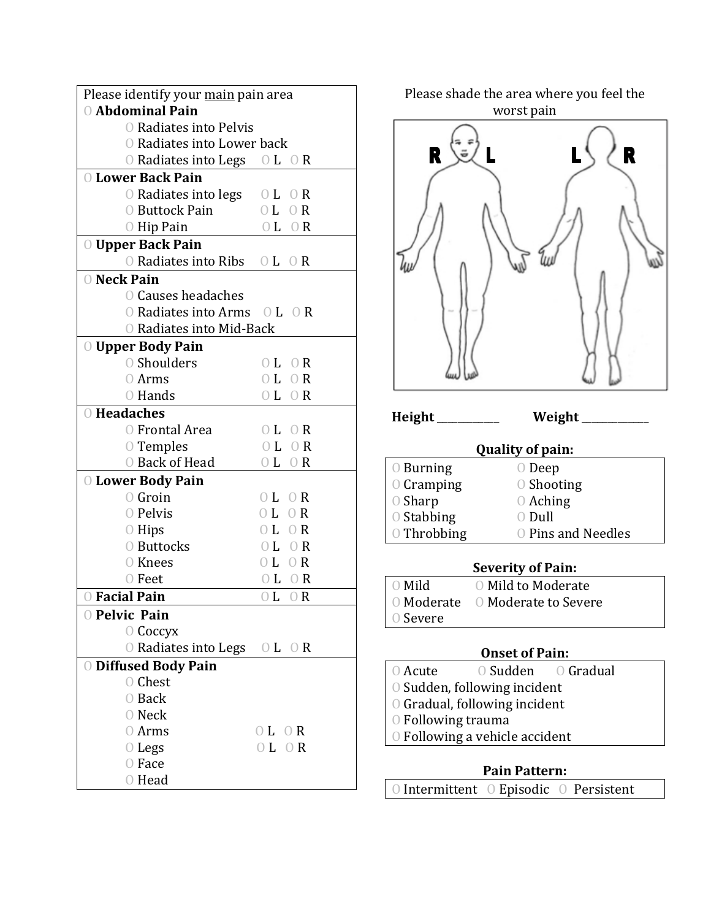| Please identify your main pain area                                 |                                    |  |  |  |  |
|---------------------------------------------------------------------|------------------------------------|--|--|--|--|
| O Abdominal Pain                                                    |                                    |  |  |  |  |
| O Radiates into Pelvis                                              |                                    |  |  |  |  |
| O Radiates into Lower back                                          |                                    |  |  |  |  |
| $\overline{O}$ Radiates into Legs $\overline{O}$ L $\overline{O}$ R |                                    |  |  |  |  |
| <b>O Lower Back Pain</b>                                            |                                    |  |  |  |  |
| O Radiates into legs                                                | 0 <sub>L</sub><br>- O R            |  |  |  |  |
| O Buttock Pain                                                      | 0 <sub>L</sub><br>0 R              |  |  |  |  |
| O Hip Pain                                                          | 0 L<br>$\bigcirc$ R                |  |  |  |  |
| O Upper Back Pain                                                   |                                    |  |  |  |  |
| O Radiates into Ribs O L O R                                        |                                    |  |  |  |  |
| O Neck Pain                                                         |                                    |  |  |  |  |
| <b>O Causes headaches</b>                                           |                                    |  |  |  |  |
| $\overline{O}$ Radiates into Arms $\overline{O}$ L $\overline{O}$ R |                                    |  |  |  |  |
| O Radiates into Mid-Back                                            |                                    |  |  |  |  |
| O Upper Body Pain                                                   |                                    |  |  |  |  |
| O Shoulders                                                         | 0 <sub>L</sub><br>$\overline{O}$ R |  |  |  |  |
| 0 Arms                                                              | 0 L 0 R                            |  |  |  |  |
| O Hands                                                             | 0 L 0 R                            |  |  |  |  |
| O Headaches                                                         |                                    |  |  |  |  |
| O Frontal Area                                                      | $\overline{O}$ L<br>- O R          |  |  |  |  |
| O Temples                                                           | 0L<br>$\overline{O}$ R             |  |  |  |  |
| O Back of Head                                                      | OL OR                              |  |  |  |  |
| <b>O Lower Body Pain</b>                                            |                                    |  |  |  |  |
| $\circ$ Groin                                                       | 0 L 0 R                            |  |  |  |  |
| O Pelvis                                                            | 0 L 0 R                            |  |  |  |  |
| $\circ$ Hips                                                        | 0 L<br>$\overline{O}$ R            |  |  |  |  |
| O Buttocks                                                          | 0 L 0 R                            |  |  |  |  |
| O Knees                                                             | 0 L 0 R                            |  |  |  |  |
| 0 Feet                                                              | $0L$ $0R$                          |  |  |  |  |
| O Facial Pain                                                       | 0 L<br>$\bigcirc$ R                |  |  |  |  |
| O Pelvic Pain                                                       |                                    |  |  |  |  |
| $\bigcirc$ Coccyx                                                   |                                    |  |  |  |  |
| O Radiates into Legs O L O R                                        |                                    |  |  |  |  |
| <b>O Diffused Body Pain</b>                                         |                                    |  |  |  |  |
| O Chest                                                             |                                    |  |  |  |  |
| 0 Back                                                              |                                    |  |  |  |  |
| O Neck                                                              |                                    |  |  |  |  |
| 0 Arms                                                              | OL OR                              |  |  |  |  |
| $\bigcirc$ Legs                                                     | 0 L 0 R                            |  |  |  |  |
| O Face                                                              |                                    |  |  |  |  |
| 0 Head                                                              |                                    |  |  |  |  |

 $\mathbf{R}$  $\ddot{=}$ R Height \_\_\_\_\_\_\_\_\_\_\_\_\_\_\_ Weight \_ **Quality of pain:** O Burning O Deep O Cramping  $\qquad \qquad \odot$  Shooting  $\qquad \qquad \odot$  Shooting  $O$  Aching O Stabbing O Dull O Throbbing  $\qquad$  O Pins and Needles **Severity of Pain:** O Mild O Mild to Moderate

Please shade the area where you feel the worst pain

### **Onset of Pain:**

O Acute O Sudden O Gradual

O Moderate O Moderate to Severe

- O Sudden, following incident
- O Gradual, following incident
- O Following trauma

O Severe 

O Following a vehicle accident

### **Pain Pattern:**

O Intermittent O Episodic O Persistent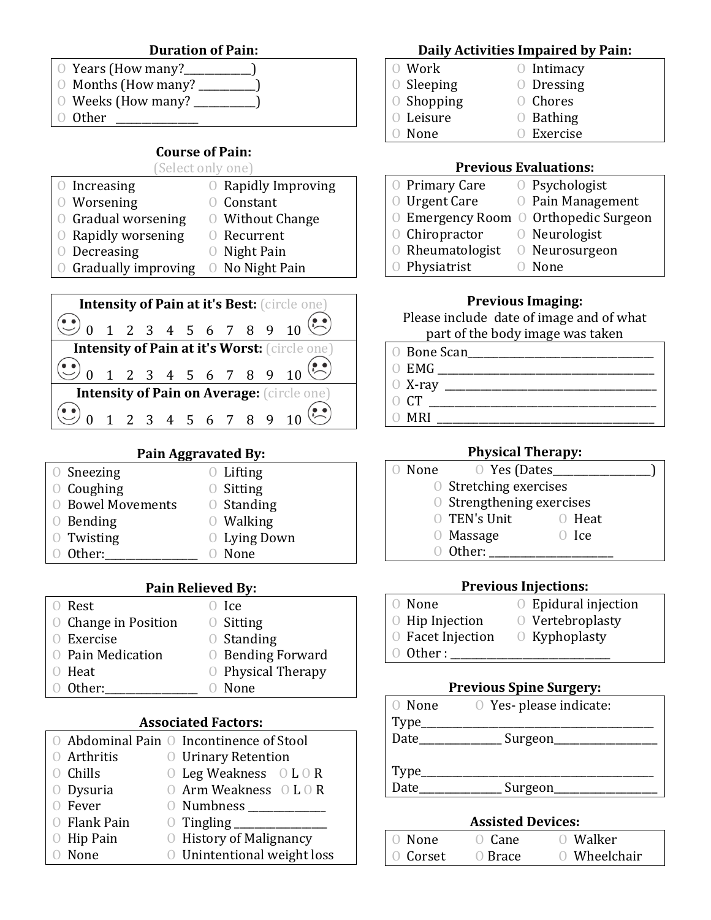### **Duration of Pain:**

- O Years (How many? )  $\circ$  Months (How many? \_\_\_\_\_\_\_\_)
- $\circ$  Weeks (How many? \_\_\_\_\_\_\_\_)
- $\bigcirc$  Other

### **Course of Pain:**

### (Select only one)

| $\circ$ Increasing    | <b>O</b> Rapidly Improving |
|-----------------------|----------------------------|
| 0 Worsening           | <b>O</b> Constant          |
| O Gradual worsening   | O Without Change           |
| 0 Rapidly worsening   | <b>O</b> Recurrent         |
| $O$ Decreasing        | $\circ$ Night Pain         |
| O Gradually improving | O No Night Pain            |



### **Pain Aggravated By:**

| $\circ$ Sneezing         | $O$ Lifting         |
|--------------------------|---------------------|
| $\circ$ Coughing         | $\circ$ Sitting     |
| <b>O</b> Bowel Movements | $\circ$ Standing    |
| $\circ$ Bending          | $\circ$ Walking     |
| 0 Twisting               | <b>O</b> Lying Down |
| Other:                   | None                |
|                          |                     |

### **Pain Relieved By:**

| 0 Rest                      | $\bigcirc$ Ice           |
|-----------------------------|--------------------------|
| <b>O</b> Change in Position | $\circ$ Sitting          |
| 0 Exercise                  | $\circ$ Standing         |
| O Pain Medication           | <b>O</b> Bending Forward |
| 0 Heat                      | O Physical Therapy       |
| 0 Other:                    | None                     |

### **Associated Factors:**

|              | O Abdominal Pain O Incontinence of Stool |
|--------------|------------------------------------------|
| 0 Arthritis  | <b>O</b> Urinary Retention               |
| O Chills     | $O$ Leg Weakness $O L O R$               |
| O Dysuria    | O Arm Weakness O L O R                   |
| 0 Fever      | 0 Numbness                               |
| 0 Flank Pain |                                          |
| $O$ Hip Pain | <b>O</b> History of Malignancy           |
| O None       | O Unintentional weight loss              |

### **Daily Activities Impaired by Pain:**

- O Work O Intimacy O Sleeping O Dressing O Shopping O Chores O Leisure O Bathing
- O None O Exercise

### **Previous Evaluations:**

- O Primary Care O Psychologist O Urgent Care O Pain Management O Emergency Room O Orthopedic Surgeon O Chiropractor O Neurologist  $\circ$  Rheumatologist  $\circ$  Neurosurgeon
- O Physiatrist O None

### **Previous Imaging:**

Please include date of image and of what part of the body image was taken

- 0 Bone Scan
- O EMG \_\_\_\_\_\_\_\_\_\_\_\_\_\_\_\_\_\_\_\_\_\_\_\_\_\_\_\_\_\_\_\_\_\_\_\_\_\_\_\_\_\_
- $O X-ray$ 
	-
- $O$  CT  $\_\_$
- $\bigcirc$  MRI

### **Physical Therapy:**

- O None O Yes (Dates\_\_\_\_\_\_\_\_\_\_
	- O Stretching exercises
		- O Strengthening exercises
		- O TEN's Unit O Heat
		- O Massage O Ice
	- O Other: \_\_\_\_\_\_\_\_\_\_\_\_\_\_\_\_\_\_\_\_\_\_\_\_

### **Previous Injections:**

- O None O Epidural injection O Hip Injection O Vertebroplasty O Facet Injection O Kyphoplasty  $\bigcirc$  Other :
- 

### **Previous Spine Surgery:**

| 0 None        | O Yes- please indicate: |
|---------------|-------------------------|
| Type          |                         |
| Date          | Surgeon                 |
|               |                         |
|               |                         |
| Type<br>Date_ | Surgeon                 |
|               |                         |

### **Assisted Devices:**

| () None  | $\bigcirc$ Cane | 0 Walker     |
|----------|-----------------|--------------|
| 0 Corset | 0 Brace         | O Wheelchair |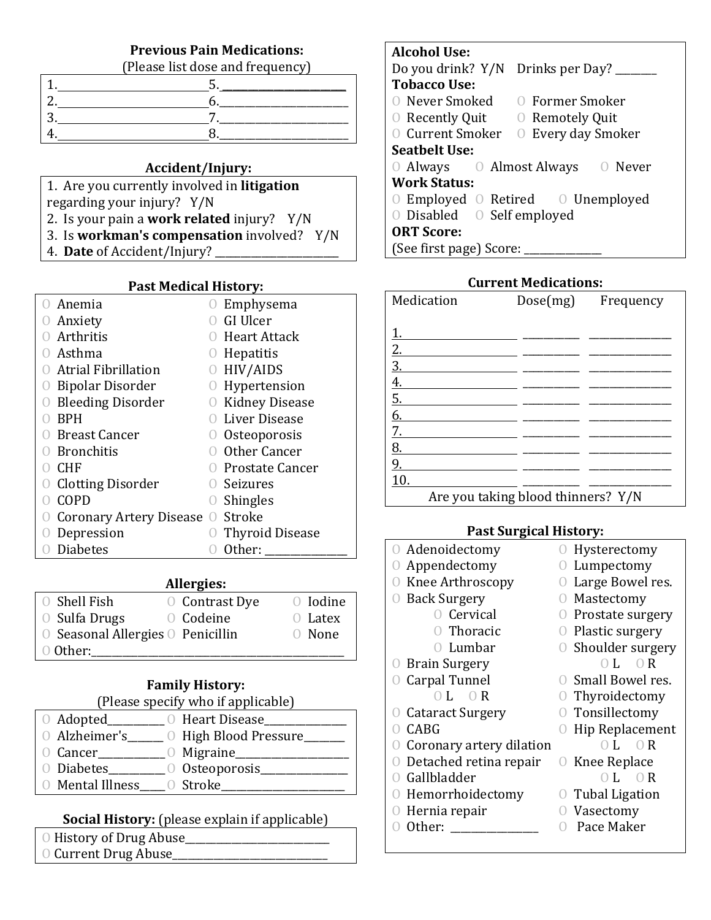### **Previous Pain Medications:**

(Please list dose and frequency)

### **Accident/Injury:**

- 1. Are you currently involved in *litigation*
- regarding your injury? Y/N
- 2. Is your pain a **work related** injury? Y/N
- 3. Is **workman's compensation** involved? Y/N
- 4. **Date** of Accident/Injury? \_\_\_\_\_\_\_\_\_\_\_\_\_\_\_\_\_\_\_\_\_\_\_\_

### **Past Medical History:**

|   | Anemia                     |           | Emphysema              |
|---|----------------------------|-----------|------------------------|
| U | Anxiety                    |           | GI Ulcer               |
|   | Arthritis                  |           | O Heart Attack         |
|   | Asthma                     |           | Hepatitis              |
|   | <b>Atrial Fibrillation</b> |           | HIV/AIDS               |
|   | <b>Bipolar Disorder</b>    |           | Hypertension           |
|   | <b>Bleeding Disorder</b>   |           | <b>Kidney Disease</b>  |
|   | <b>BPH</b>                 |           | Liver Disease          |
|   | Breast Cancer              |           | Osteoporosis           |
|   | <b>Bronchitis</b>          |           | Other Cancer           |
|   | <b>CHF</b>                 |           | Prostate Cancer        |
|   | <b>Clotting Disorder</b>   |           | <b>O</b> Seizures      |
|   | COPD                       |           | <b>O</b> Shingles      |
|   | Coronary Artery Disease    | $\bigcup$ | Stroke                 |
|   | Depression                 |           | <b>Thyroid Disease</b> |
|   | <b>Diabetes</b>            |           | Other:                 |

### **Allergies:**

| O Shell Fish                      | <b>O</b> Contrast Dye | 0 Iodine  |
|-----------------------------------|-----------------------|-----------|
| <b>O</b> Sulfa Drugs              | O Codeine             | $O$ Latex |
| O Seasonal Allergies O Penicillin |                       | O None    |
| 0 Other:                          |                       |           |

## **Family History:**

| (Please specify who if applicable) |  |
|------------------------------------|--|
|                                    |  |

| O Adopted               | <b>O</b> Heart Disease |
|-------------------------|------------------------|
| 0 Alzheimer's           | O High Blood Pressure  |
| 0 Cancer                | $\circ$ Migraine       |
| <b>O</b> Diabetes       | O Osteoporosis         |
| <b>O</b> Mental Illness | O Stroke               |

### **Social History:** (please explain if applicable)

- O History of Drug Abuse
- O Current Drug Abuse\_

### **Alcohol Use:**

| Do you drink? Y/N Drinks per Day?           |  |  |
|---------------------------------------------|--|--|
| <b>Tobacco Use:</b>                         |  |  |
| O Never Smoked O Former Smoker              |  |  |
| $\odot$ Recently Quit $\odot$ Remotely Quit |  |  |
| O Current Smoker O Every day Smoker         |  |  |
| <b>Seathelt Use:</b>                        |  |  |
| O Always O Almost Always O Never            |  |  |
| <b>Work Status:</b>                         |  |  |
| ○ Employed ○ Retired ○ Unemployed           |  |  |
| O Disabled O Self employed                  |  |  |
| <b>ORT Score:</b>                           |  |  |
| (See first page) Score:                     |  |  |

### **Current Medications:**

| Medication                           | Dose(mg)                           | Frequency |
|--------------------------------------|------------------------------------|-----------|
|                                      |                                    |           |
| <u>1.</u>                            |                                    |           |
|                                      |                                    |           |
|                                      |                                    |           |
| $\frac{2.}{3.4}$<br>$\frac{4.}{5.6}$ |                                    |           |
|                                      |                                    |           |
|                                      |                                    |           |
| 7.                                   |                                    |           |
| 8.                                   |                                    |           |
| $\overline{9}$ .                     |                                    |           |
| 10.                                  |                                    |           |
|                                      | Are you taking blood thinners? Y/N |           |

### **Past Surgical History:**

| O Adenoidectomy           | Hysterectomy                       |
|---------------------------|------------------------------------|
| Appendectomy              | Lumpectomy                         |
| Knee Arthroscopy          | Large Bowel res.                   |
| <b>Back Surgery</b>       | Mastectomy                         |
| O Cervical                | Prostate surgery                   |
| O Thoracic                | Plastic surgery                    |
| 0 Lumbar                  | <b>O</b> Shoulder surgery          |
| <b>O</b> Brain Surgery    | $0L \cap R$                        |
| Carpal Tunnel             | O Small Bowel res.                 |
| $0L \theta R$             | Thyroidectomy                      |
| <b>O</b> Cataract Surgery | Tonsillectomy                      |
| <b>CABG</b>               | Hip Replacement                    |
| Coronary artery dilation  | L<br>$\bigcirc$ R                  |
| Detached retina repair    | Knee Replace<br>$\left( \ \right)$ |
| Gallbladder               | L<br>$\bigcirc$ R                  |
| Hemorrhoidectomy          | Tubal Ligation                     |
| Hernia repair             | Vasectomy                          |
| Other:                    | Pace Maker                         |